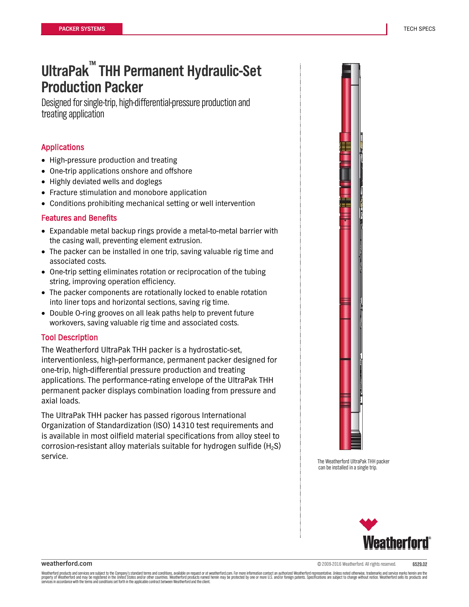# **UltraPak ™ THH Permanent Hydraulic-Set Production Packer**

Designed for single-trip, high-differential-pressure production and treating application

# Applications

- High-pressure production and treating
- One-trip applications onshore and offshore
- Highly deviated wells and doglegs
- Fracture stimulation and monobore application
- Conditions prohibiting mechanical setting or well intervention

# Features and Benefits

- Expandable metal backup rings provide a metal-to-metal barrier with the casing wall, preventing element extrusion.
- The packer can be installed in one trip, saving valuable rig time and associated costs.
- One-trip setting eliminates rotation or reciprocation of the tubing string, improving operation efficiency.
- The packer components are rotationally locked to enable rotation into liner tops and horizontal sections, saving rig time.
- Double O-ring grooves on all leak paths help to prevent future workovers, saving valuable rig time and associated costs.

#### Tool Description

The Weatherford UltraPak THH packer is a hydrostatic-set, interventionless, high-performance, permanent packer designed for one-trip, high-differential pressure production and treating applications. The performance-rating envelope of the UltraPak THH permanent packer displays combination loading from pressure and axial loads.

The UltraPak THH packer has passed rigorous International Organization of Standardization (ISO) 14310 test requirements and is available in most oilfield material specifications from alloy steel to corrosion-resistant alloy materials suitable for hydrogen sulfide  $(H_2S)$ service.<br>The Weatherford UltraPak THH packer



can be installed in a single trip.



**weatherford.com** 6529.02

į .<br>ו Weatherford products and services are subject to the Company's standard terms and conditions, available on request or at weatherford.com. For more information contact an authorized Weatherford representative. Unless noted services in accordance with the terms and conditions set forth in the applicable contract between Weatherford and the client.